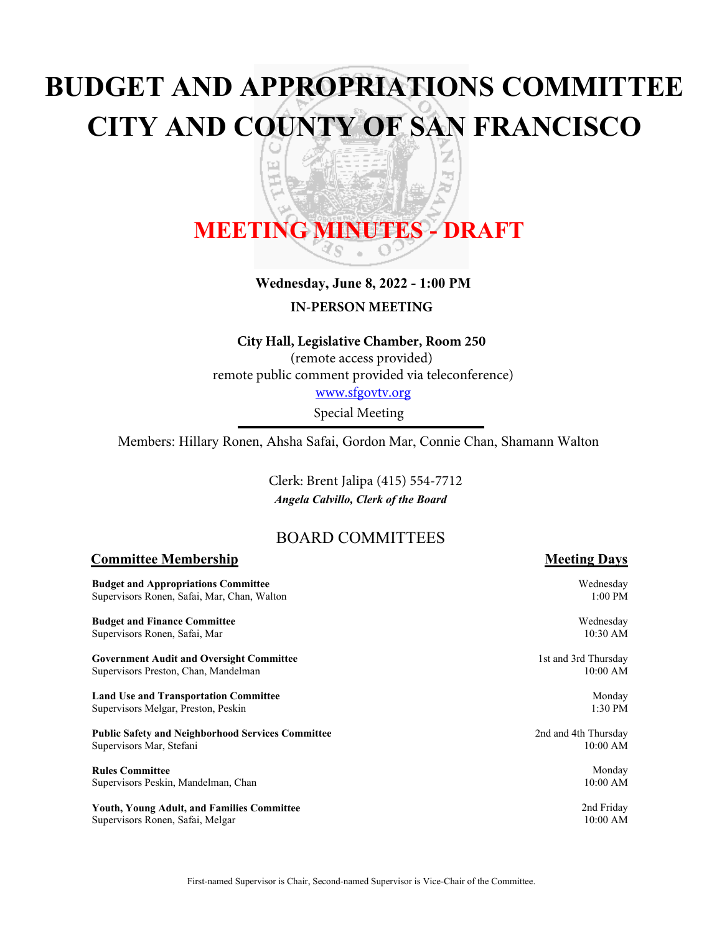# **BUDGET AND APPROPRIATIONS COMMITTEE CITY AND COUNTY OF SAN FRANCISCO**

z

嗊 ਠ

# **MEETING MINUTES - DRAFT**

 $\left[\begin{matrix} \mathbf{r} \\ \mathbf{r} \end{matrix} \right]$ 

#### **Wednesday, June 8, 2022 - 1:00 PM**

**IN-PERSON MEETING**

#### **City Hall, Legislative Chamber, Room 250**

(remote access provided) remote public comment provided via teleconference) www.sfgovtv.org

Special Meeting

Members: Hillary Ronen, Ahsha Safai, Gordon Mar, Connie Chan, Shamann Walton

*Angela Calvillo, Clerk of the Board* Clerk: Brent Jalipa (415) 554-7712

# BOARD COMMITTEES

#### **Committee Membership Meeting Days**

**Budget** Supervi

**Budget** Supervi

**Govern** Supervi

**Land U** Supervis

**Public S** Supervi

**Rules** C Supervi

Youth, Supervisors Ronen, Safai, Melgar

| and Appropriations Committee<br>sors Ronen, Safai, Mar, Chan, Walton | Wednesday<br>$1:00$ PM |
|----------------------------------------------------------------------|------------------------|
| and Finance Committee                                                | Wednesday              |
| sors Ronen, Safai, Mar                                               | 10:30 AM               |
| ment Audit and Oversight Committee                                   | 1st and 3rd Thursday   |
| sors Preston, Chan, Mandelman                                        | 10:00 AM               |
| se and Transportation Committee                                      | Monday                 |
| sors Melgar, Preston, Peskin                                         | $1:30$ PM              |
| <b>Safety and Neighborhood Services Committee</b>                    | 2nd and 4th Thursday   |
| sors Mar, Stefani                                                    | $10:00$ AM             |
| `ommittee                                                            | Monday                 |
| sors Peskin, Mandelman, Chan                                         | 10:00 AM               |
| <b>Young Adult, and Families Committee</b>                           | 2nd Friday             |
| sors Ronen-Safai-Melgar                                              | $10:00$ AM             |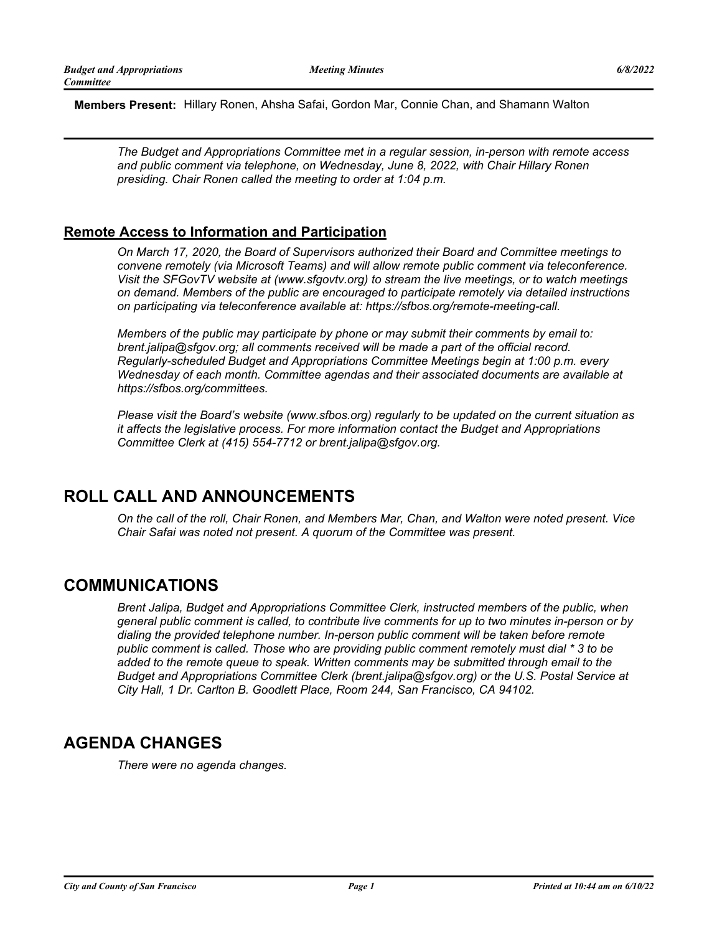**Members Present:** Hillary Ronen, Ahsha Safai, Gordon Mar, Connie Chan, and Shamann Walton

*The Budget and Appropriations Committee met in a regular session, in-person with remote access and public comment via telephone, on Wednesday, June 8, 2022, with Chair Hillary Ronen presiding. Chair Ronen called the meeting to order at 1:04 p.m.*

## **Remote Access to Information and Participation**

*On March 17, 2020, the Board of Supervisors authorized their Board and Committee meetings to convene remotely (via Microsoft Teams) and will allow remote public comment via teleconference. Visit the SFGovTV website at (www.sfgovtv.org) to stream the live meetings, or to watch meetings on demand. Members of the public are encouraged to participate remotely via detailed instructions on participating via teleconference available at: https://sfbos.org/remote-meeting-call.*

*Members of the public may participate by phone or may submit their comments by email to: brent.jalipa@sfgov.org; all comments received will be made a part of the official record. Regularly-scheduled Budget and Appropriations Committee Meetings begin at 1:00 p.m. every Wednesday of each month. Committee agendas and their associated documents are available at https://sfbos.org/committees.*

*Please visit the Board's website (www.sfbos.org) regularly to be updated on the current situation as it affects the legislative process. For more information contact the Budget and Appropriations Committee Clerk at (415) 554-7712 or brent.jalipa@sfgov.org.*

# **ROLL CALL AND ANNOUNCEMENTS**

*On the call of the roll, Chair Ronen, and Members Mar, Chan, and Walton were noted present. Vice Chair Safai was noted not present. A quorum of the Committee was present.*

# **COMMUNICATIONS**

*Brent Jalipa, Budget and Appropriations Committee Clerk, instructed members of the public, when general public comment is called, to contribute live comments for up to two minutes in-person or by dialing the provided telephone number. In-person public comment will be taken before remote public comment is called. Those who are providing public comment remotely must dial \* 3 to be added to the remote queue to speak. Written comments may be submitted through email to the Budget and Appropriations Committee Clerk (brent.jalipa@sfgov.org) or the U.S. Postal Service at City Hall, 1 Dr. Carlton B. Goodlett Place, Room 244, San Francisco, CA 94102.*

# **AGENDA CHANGES**

*There were no agenda changes.*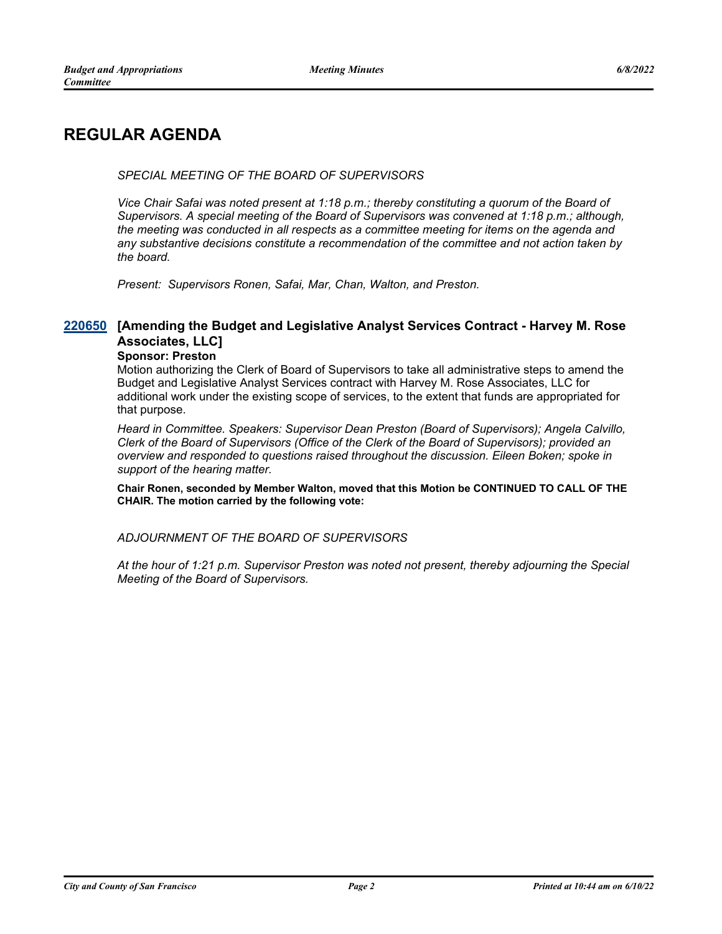# **REGULAR AGENDA**

#### *SPECIAL MEETING OF THE BOARD OF SUPERVISORS*

*Vice Chair Safai was noted present at 1:18 p.m.; thereby constituting a quorum of the Board of Supervisors. A special meeting of the Board of Supervisors was convened at 1:18 p.m.; although, the meeting was conducted in all respects as a committee meeting for items on the agenda and any substantive decisions constitute a recommendation of the committee and not action taken by the board.*

*Present: Supervisors Ronen, Safai, Mar, Chan, Walton, and Preston.*

## **[Amending the Budget and Legislative Analyst Services Contract - Harvey M. Rose [220650](http://sfgov.legistar.com/gateway.aspx?m=l&id=38842) Associates, LLC]**

#### **Sponsor: Preston**

Motion authorizing the Clerk of Board of Supervisors to take all administrative steps to amend the Budget and Legislative Analyst Services contract with Harvey M. Rose Associates, LLC for additional work under the existing scope of services, to the extent that funds are appropriated for that purpose.

*Heard in Committee. Speakers: Supervisor Dean Preston (Board of Supervisors); Angela Calvillo, Clerk of the Board of Supervisors (Office of the Clerk of the Board of Supervisors); provided an overview and responded to questions raised throughout the discussion. Eileen Boken; spoke in support of the hearing matter.*

**Chair Ronen, seconded by Member Walton, moved that this Motion be CONTINUED TO CALL OF THE CHAIR. The motion carried by the following vote:**

#### *ADJOURNMENT OF THE BOARD OF SUPERVISORS*

*At the hour of 1:21 p.m. Supervisor Preston was noted not present, thereby adjourning the Special Meeting of the Board of Supervisors.*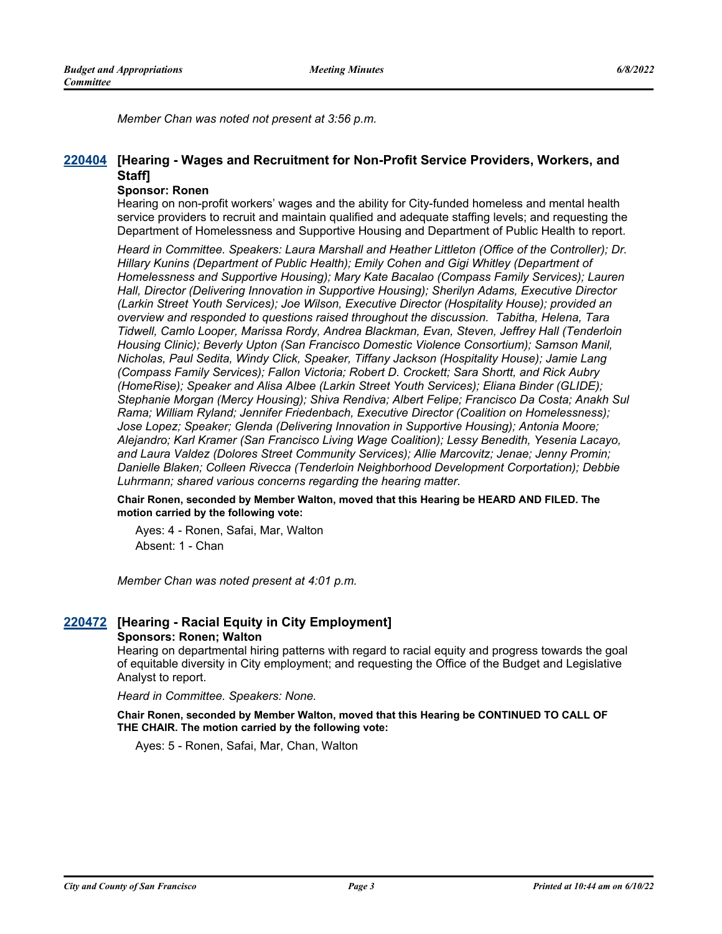*Member Chan was noted not present at 3:56 p.m.*

### **[Hearing - Wages and Recruitment for Non-Profit Service Providers, Workers, and [220404](http://sfgov.legistar.com/gateway.aspx?m=l&id=38596) Staff]**

#### **Sponsor: Ronen**

Hearing on non-profit workers' wages and the ability for City-funded homeless and mental health service providers to recruit and maintain qualified and adequate staffing levels; and requesting the Department of Homelessness and Supportive Housing and Department of Public Health to report.

*Heard in Committee. Speakers: Laura Marshall and Heather Littleton (Office of the Controller); Dr. Hillary Kunins (Department of Public Health); Emily Cohen and Gigi Whitley (Department of Homelessness and Supportive Housing); Mary Kate Bacalao (Compass Family Services); Lauren Hall, Director (Delivering Innovation in Supportive Housing); Sherilyn Adams, Executive Director (Larkin Street Youth Services); Joe Wilson, Executive Director (Hospitality House); provided an overview and responded to questions raised throughout the discussion. Tabitha, Helena, Tara Tidwell, Camlo Looper, Marissa Rordy, Andrea Blackman, Evan, Steven, Jeffrey Hall (Tenderloin Housing Clinic); Beverly Upton (San Francisco Domestic Violence Consortium); Samson Manil, Nicholas, Paul Sedita, Windy Click, Speaker, Tiffany Jackson (Hospitality House); Jamie Lang (Compass Family Services); Fallon Victoria; Robert D. Crockett; Sara Shortt, and Rick Aubry (HomeRise); Speaker and Alisa Albee (Larkin Street Youth Services); Eliana Binder (GLIDE); Stephanie Morgan (Mercy Housing); Shiva Rendiva; Albert Felipe; Francisco Da Costa; Anakh Sul Rama; William Ryland; Jennifer Friedenbach, Executive Director (Coalition on Homelessness); Jose Lopez; Speaker; Glenda (Delivering Innovation in Supportive Housing); Antonia Moore; Alejandro; Karl Kramer (San Francisco Living Wage Coalition); Lessy Benedith, Yesenia Lacayo, and Laura Valdez (Dolores Street Community Services); Allie Marcovitz; Jenae; Jenny Promin; Danielle Blaken; Colleen Rivecca (Tenderloin Neighborhood Development Corportation); Debbie Luhrmann; shared various concerns regarding the hearing matter.*

**Chair Ronen, seconded by Member Walton, moved that this Hearing be HEARD AND FILED. The motion carried by the following vote:**

Ayes: 4 - Ronen, Safai, Mar, Walton Absent: 1 - Chan

*Member Chan was noted present at 4:01 p.m.*

#### **[220472](http://sfgov.legistar.com/gateway.aspx?m=l&id=38664) [Hearing - Racial Equity in City Employment] Sponsors: Ronen; Walton**

Hearing on departmental hiring patterns with regard to racial equity and progress towards the goal of equitable diversity in City employment; and requesting the Office of the Budget and Legislative Analyst to report.

*Heard in Committee. Speakers: None.*

**Chair Ronen, seconded by Member Walton, moved that this Hearing be CONTINUED TO CALL OF THE CHAIR. The motion carried by the following vote:**

Ayes: 5 - Ronen, Safai, Mar, Chan, Walton